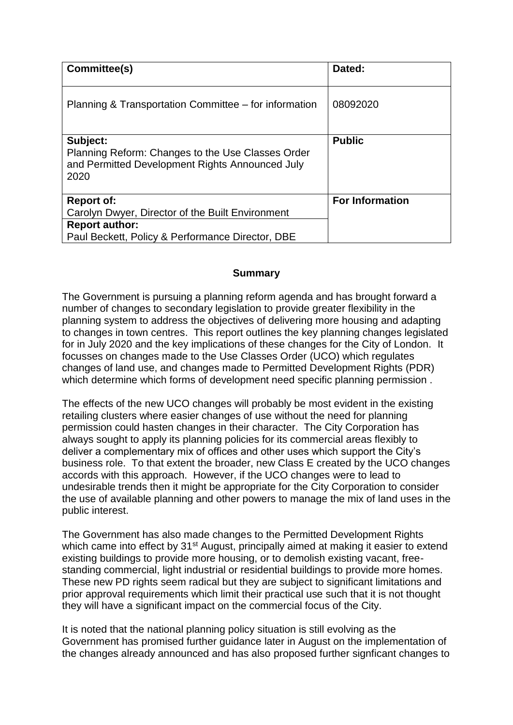| Committee(s)                                                                                                             | Dated:                 |
|--------------------------------------------------------------------------------------------------------------------------|------------------------|
| Planning & Transportation Committee – for information                                                                    | 08092020               |
| Subject:<br>Planning Reform: Changes to the Use Classes Order<br>and Permitted Development Rights Announced July<br>2020 | <b>Public</b>          |
| <b>Report of:</b><br>Carolyn Dwyer, Director of the Built Environment                                                    | <b>For Information</b> |
| <b>Report author:</b>                                                                                                    |                        |
| Paul Beckett, Policy & Performance Director, DBE                                                                         |                        |

# **Summary**

The Government is pursuing a planning reform agenda and has brought forward a number of changes to secondary legislation to provide greater flexibility in the planning system to address the objectives of delivering more housing and adapting to changes in town centres. This report outlines the key planning changes legislated for in July 2020 and the key implications of these changes for the City of London. It focusses on changes made to the Use Classes Order (UCO) which regulates changes of land use, and changes made to Permitted Development Rights (PDR) which determine which forms of development need specific planning permission .

The effects of the new UCO changes will probably be most evident in the existing retailing clusters where easier changes of use without the need for planning permission could hasten changes in their character. The City Corporation has always sought to apply its planning policies for its commercial areas flexibly to deliver a complementary mix of offices and other uses which support the City's business role. To that extent the broader, new Class E created by the UCO changes accords with this approach. However, if the UCO changes were to lead to undesirable trends then it might be appropriate for the City Corporation to consider the use of available planning and other powers to manage the mix of land uses in the public interest.

The Government has also made changes to the Permitted Development Rights which came into effect by 31<sup>st</sup> August, principally aimed at making it easier to extend existing buildings to provide more housing, or to demolish existing vacant, freestanding commercial, light industrial or residential buildings to provide more homes. These new PD rights seem radical but they are subject to significant limitations and prior approval requirements which limit their practical use such that it is not thought they will have a significant impact on the commercial focus of the City.

It is noted that the national planning policy situation is still evolving as the Government has promised further guidance later in August on the implementation of the changes already announced and has also proposed further signficant changes to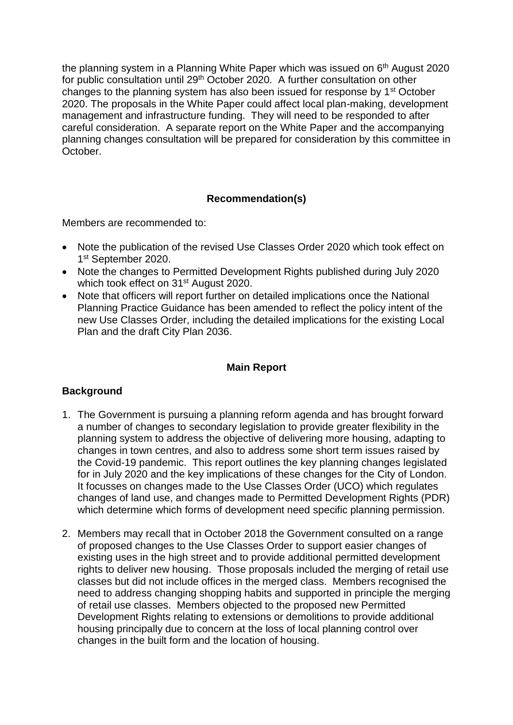the planning system in a Planning White Paper which was issued on 6<sup>th</sup> August 2020 for public consultation until 29th October 2020. A further consultation on other changes to the planning system has also been issued for response by 1st October 2020. The proposals in the White Paper could affect local plan-making, development management and infrastructure funding. They will need to be responded to after careful consideration. A separate report on the White Paper and the accompanying planning changes consultation will be prepared for consideration by this committee in October.

# **Recommendation(s)**

Members are recommended to:

- Note the publication of the revised Use Classes Order 2020 which took effect on 1 st September 2020.
- Note the changes to Permitted Development Rights published during July 2020 which took effect on 31<sup>st</sup> August 2020.
- Note that officers will report further on detailed implications once the National Planning Practice Guidance has been amended to reflect the policy intent of the new Use Classes Order, including the detailed implications for the existing Local Plan and the draft City Plan 2036.

## **Main Report**

## **Background**

- 1. The Government is pursuing a planning reform agenda and has brought forward a number of changes to secondary legislation to provide greater flexibility in the planning system to address the objective of delivering more housing, adapting to changes in town centres, and also to address some short term issues raised by the Covid-19 pandemic. This report outlines the key planning changes legislated for in July 2020 and the key implications of these changes for the City of London. It focusses on changes made to the Use Classes Order (UCO) which regulates changes of land use, and changes made to Permitted Development Rights (PDR) which determine which forms of development need specific planning permission.
- 2. Members may recall that in October 2018 the Government consulted on a range of proposed changes to the Use Classes Order to support easier changes of existing uses in the high street and to provide additional permitted development rights to deliver new housing. Those proposals included the merging of retail use classes but did not include offices in the merged class. Members recognised the need to address changing shopping habits and supported in principle the merging of retail use classes. Members objected to the proposed new Permitted Development Rights relating to extensions or demolitions to provide additional housing principally due to concern at the loss of local planning control over changes in the built form and the location of housing.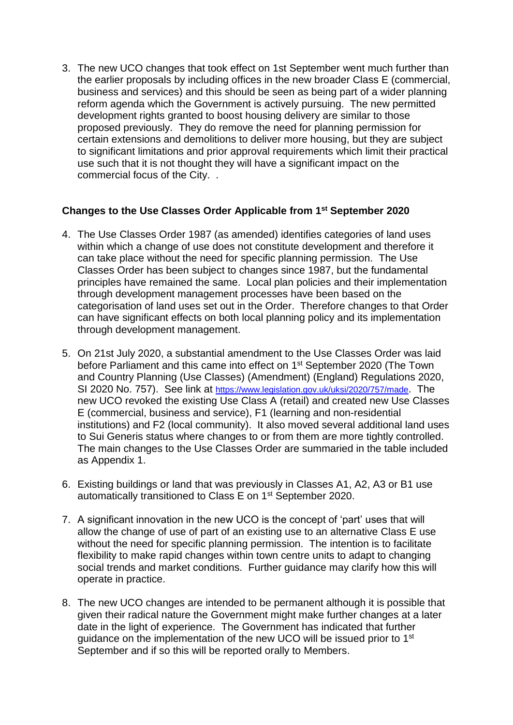3. The new UCO changes that took effect on 1st September went much further than the earlier proposals by including offices in the new broader Class E (commercial, business and services) and this should be seen as being part of a wider planning reform agenda which the Government is actively pursuing. The new permitted development rights granted to boost housing delivery are similar to those proposed previously. They do remove the need for planning permission for certain extensions and demolitions to deliver more housing, but they are subject to significant limitations and prior approval requirements which limit their practical use such that it is not thought they will have a significant impact on the commercial focus of the City. .

# **Changes to the Use Classes Order Applicable from 1st September 2020**

- 4. The Use Classes Order 1987 (as amended) identifies categories of land uses within which a change of use does not constitute development and therefore it can take place without the need for specific planning permission. The Use Classes Order has been subject to changes since 1987, but the fundamental principles have remained the same. Local plan policies and their implementation through development management processes have been based on the categorisation of land uses set out in the Order. Therefore changes to that Order can have significant effects on both local planning policy and its implementation through development management.
- 5. On 21st July 2020, a substantial amendment to the Use Classes Order was laid before Parliament and this came into effect on 1<sup>st</sup> September 2020 (The Town and Country Planning (Use Classes) (Amendment) (England) Regulations 2020, SI 2020 No. 757). See link at <https://www.legislation.gov.uk/uksi/2020/757/made>. The new UCO revoked the existing Use Class A (retail) and created new Use Classes E (commercial, business and service), F1 (learning and non-residential institutions) and F2 (local community). It also moved several additional land uses to Sui Generis status where changes to or from them are more tightly controlled. The main changes to the Use Classes Order are summaried in the table included as Appendix 1.
- 6. Existing buildings or land that was previously in Classes A1, A2, A3 or B1 use automatically transitioned to Class E on 1st September 2020.
- 7. A significant innovation in the new UCO is the concept of 'part' uses that will allow the change of use of part of an existing use to an alternative Class E use without the need for specific planning permission. The intention is to facilitate flexibility to make rapid changes within town centre units to adapt to changing social trends and market conditions. Further guidance may clarify how this will operate in practice.
- 8. The new UCO changes are intended to be permanent although it is possible that given their radical nature the Government might make further changes at a later date in the light of experience. The Government has indicated that further guidance on the implementation of the new UCO will be issued prior to 1<sup>st</sup> September and if so this will be reported orally to Members.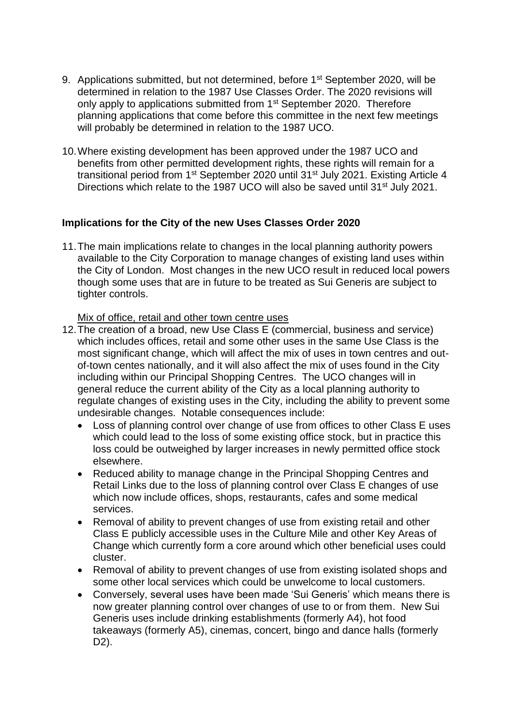- 9. Applications submitted, but not determined, before 1<sup>st</sup> September 2020, will be determined in relation to the 1987 Use Classes Order. The 2020 revisions will only apply to applications submitted from 1<sup>st</sup> September 2020. Therefore planning applications that come before this committee in the next few meetings will probably be determined in relation to the 1987 UCO.
- 10.Where existing development has been approved under the 1987 UCO and benefits from other permitted development rights, these rights will remain for a transitional period from 1<sup>st</sup> September 2020 until 31<sup>st</sup> July 2021. Existing Article 4 Directions which relate to the 1987 UCO will also be saved until 31<sup>st</sup> July 2021.

# **Implications for the City of the new Uses Classes Order 2020**

11.The main implications relate to changes in the local planning authority powers available to the City Corporation to manage changes of existing land uses within the City of London. Most changes in the new UCO result in reduced local powers though some uses that are in future to be treated as Sui Generis are subject to tighter controls.

## Mix of office, retail and other town centre uses

- 12.The creation of a broad, new Use Class E (commercial, business and service) which includes offices, retail and some other uses in the same Use Class is the most significant change, which will affect the mix of uses in town centres and outof-town centes nationally, and it will also affect the mix of uses found in the City including within our Principal Shopping Centres. The UCO changes will in general reduce the current ability of the City as a local planning authority to regulate changes of existing uses in the City, including the ability to prevent some undesirable changes. Notable consequences include:
	- Loss of planning control over change of use from offices to other Class E uses which could lead to the loss of some existing office stock, but in practice this loss could be outweighed by larger increases in newly permitted office stock elsewhere.
	- Reduced ability to manage change in the Principal Shopping Centres and Retail Links due to the loss of planning control over Class E changes of use which now include offices, shops, restaurants, cafes and some medical services.
	- Removal of ability to prevent changes of use from existing retail and other Class E publicly accessible uses in the Culture Mile and other Key Areas of Change which currently form a core around which other beneficial uses could cluster.
	- Removal of ability to prevent changes of use from existing isolated shops and some other local services which could be unwelcome to local customers.
	- Conversely, several uses have been made 'Sui Generis' which means there is now greater planning control over changes of use to or from them. New Sui Generis uses include drinking establishments (formerly A4), hot food takeaways (formerly A5), cinemas, concert, bingo and dance halls (formerly D2).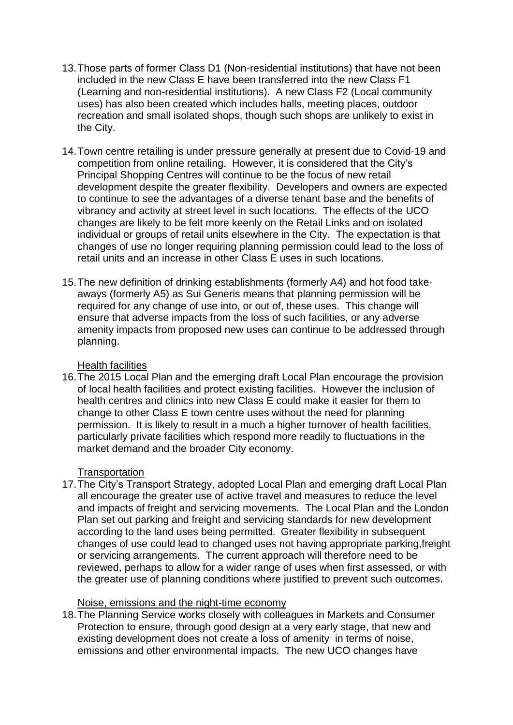- 13.Those parts of former Class D1 (Non-residential institutions) that have not been included in the new Class E have been transferred into the new Class F1 (Learning and non-residential institutions). A new Class F2 (Local community uses) has also been created which includes halls, meeting places, outdoor recreation and small isolated shops, though such shops are unlikely to exist in the City.
- 14.Town centre retailing is under pressure generally at present due to Covid-19 and competition from online retailing. However, it is considered that the City's Principal Shopping Centres will continue to be the focus of new retail development despite the greater flexibility. Developers and owners are expected to continue to see the advantages of a diverse tenant base and the benefits of vibrancy and activity at street level in such locations. The effects of the UCO changes are likely to be felt more keenly on the Retail Links and on isolated individual or groups of retail units elsewhere in the City. The expectation is that changes of use no longer requiring planning permission could lead to the loss of retail units and an increase in other Class E uses in such locations.
- 15.The new definition of drinking establishments (formerly A4) and hot food takeaways (formerly A5) as Sui Generis means that planning permission will be required for any change of use into, or out of, these uses. This change will ensure that adverse impacts from the loss of such facilities, or any adverse amenity impacts from proposed new uses can continue to be addressed through planning.

## Health facilities

16.The 2015 Local Plan and the emerging draft Local Plan encourage the provision of local health facilities and protect existing facilities. However the inclusion of health centres and clinics into new Class E could make it easier for them to change to other Class E town centre uses without the need for planning permission. It is likely to result in a much a higher turnover of health facilities, particularly private facilities which respond more readily to fluctuations in the market demand and the broader City economy.

## **Transportation**

17.The City's Transport Strategy, adopted Local Plan and emerging draft Local Plan all encourage the greater use of active travel and measures to reduce the level and impacts of freight and servicing movements. The Local Plan and the London Plan set out parking and freight and servicing standards for new development according to the land uses being permitted. Greater flexibility in subsequent changes of use could lead to changed uses not having appropriate parking,freight or servicing arrangements. The current approach will therefore need to be reviewed, perhaps to allow for a wider range of uses when first assessed, or with the greater use of planning conditions where justified to prevent such outcomes.

## Noise, emissions and the night-time economy

18.The Planning Service works closely with colleagues in Markets and Consumer Protection to ensure, through good design at a very early stage, that new and existing development does not create a loss of amenity in terms of noise, emissions and other environmental impacts. The new UCO changes have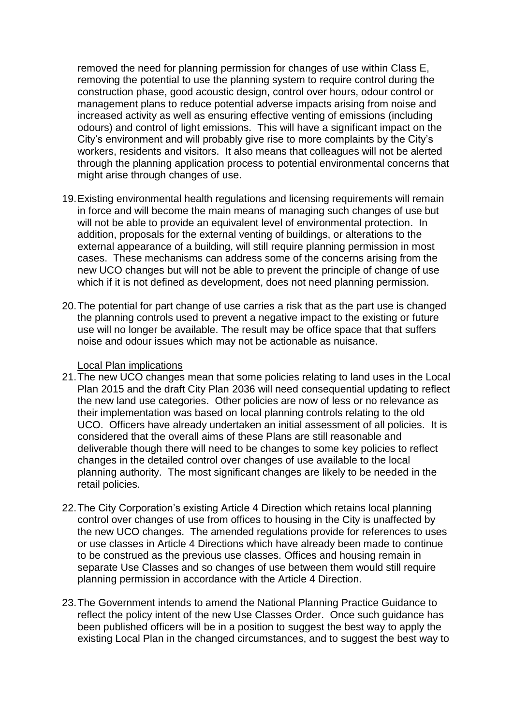removed the need for planning permission for changes of use within Class E, removing the potential to use the planning system to require control during the construction phase, good acoustic design, control over hours, odour control or management plans to reduce potential adverse impacts arising from noise and increased activity as well as ensuring effective venting of emissions (including odours) and control of light emissions. This will have a significant impact on the City's environment and will probably give rise to more complaints by the City's workers, residents and visitors. It also means that colleagues will not be alerted through the planning application process to potential environmental concerns that might arise through changes of use.

- 19.Existing environmental health regulations and licensing requirements will remain in force and will become the main means of managing such changes of use but will not be able to provide an equivalent level of environmental protection. In addition, proposals for the external venting of buildings, or alterations to the external appearance of a building, will still require planning permission in most cases. These mechanisms can address some of the concerns arising from the new UCO changes but will not be able to prevent the principle of change of use which if it is not defined as development, does not need planning permission.
- 20.The potential for part change of use carries a risk that as the part use is changed the planning controls used to prevent a negative impact to the existing or future use will no longer be available. The result may be office space that that suffers noise and odour issues which may not be actionable as nuisance.

#### Local Plan implications

- 21.The new UCO changes mean that some policies relating to land uses in the Local Plan 2015 and the draft City Plan 2036 will need consequential updating to reflect the new land use categories. Other policies are now of less or no relevance as their implementation was based on local planning controls relating to the old UCO. Officers have already undertaken an initial assessment of all policies. It is considered that the overall aims of these Plans are still reasonable and deliverable though there will need to be changes to some key policies to reflect changes in the detailed control over changes of use available to the local planning authority. The most significant changes are likely to be needed in the retail policies.
- 22.The City Corporation's existing Article 4 Direction which retains local planning control over changes of use from offices to housing in the City is unaffected by the new UCO changes. The amended regulations provide for references to uses or use classes in Article 4 Directions which have already been made to continue to be construed as the previous use classes. Offices and housing remain in separate Use Classes and so changes of use between them would still require planning permission in accordance with the Article 4 Direction.
- 23.The Government intends to amend the National Planning Practice Guidance to reflect the policy intent of the new Use Classes Order. Once such guidance has been published officers will be in a position to suggest the best way to apply the existing Local Plan in the changed circumstances, and to suggest the best way to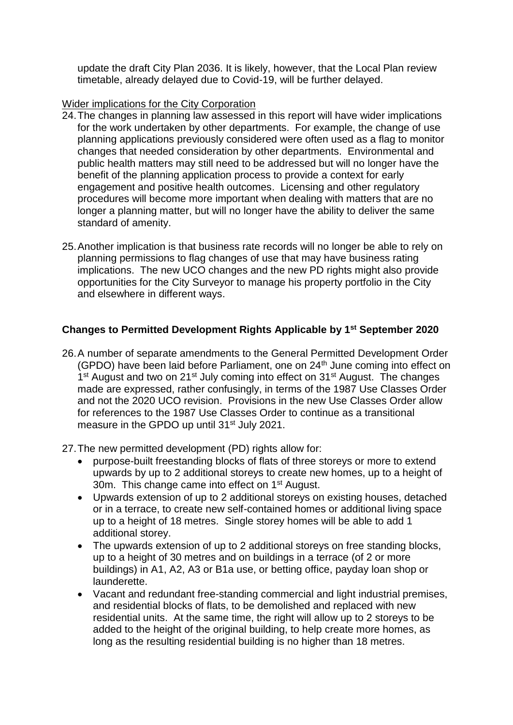update the draft City Plan 2036. It is likely, however, that the Local Plan review timetable, already delayed due to Covid-19, will be further delayed.

# Wider implications for the City Corporation

- 24.The changes in planning law assessed in this report will have wider implications for the work undertaken by other departments. For example, the change of use planning applications previously considered were often used as a flag to monitor changes that needed consideration by other departments. Environmental and public health matters may still need to be addressed but will no longer have the benefit of the planning application process to provide a context for early engagement and positive health outcomes. Licensing and other regulatory procedures will become more important when dealing with matters that are no longer a planning matter, but will no longer have the ability to deliver the same standard of amenity.
- 25.Another implication is that business rate records will no longer be able to rely on planning permissions to flag changes of use that may have business rating implications. The new UCO changes and the new PD rights might also provide opportunities for the City Surveyor to manage his property portfolio in the City and elsewhere in different ways.

# **Changes to Permitted Development Rights Applicable by 1st September 2020**

- 26.A number of separate amendments to the General Permitted Development Order (GPDO) have been laid before Parliament, one on 24<sup>th</sup> June coming into effect on 1<sup>st</sup> August and two on 21<sup>st</sup> July coming into effect on 31<sup>st</sup> August. The changes made are expressed, rather confusingly, in terms of the 1987 Use Classes Order and not the 2020 UCO revision. Provisions in the new Use Classes Order allow for references to the 1987 Use Classes Order to continue as a transitional measure in the GPDO up until 31<sup>st</sup> July 2021.
- 27.The new permitted development (PD) rights allow for:
	- purpose-built freestanding blocks of flats of three storeys or more to extend upwards by up to 2 additional storeys to create new homes, up to a height of 30m. This change came into effect on 1<sup>st</sup> August.
	- Upwards extension of up to 2 additional storeys on existing houses, detached or in a terrace, to create new self-contained homes or additional living space up to a height of 18 metres. Single storey homes will be able to add 1 additional storey.
	- The upwards extension of up to 2 additional storeys on free standing blocks, up to a height of 30 metres and on buildings in a terrace (of 2 or more buildings) in A1, A2, A3 or B1a use, or betting office, payday loan shop or launderette.
	- Vacant and redundant free-standing commercial and light industrial premises, and residential blocks of flats, to be demolished and replaced with new residential units. At the same time, the right will allow up to 2 storeys to be added to the height of the original building, to help create more homes, as long as the resulting residential building is no higher than 18 metres.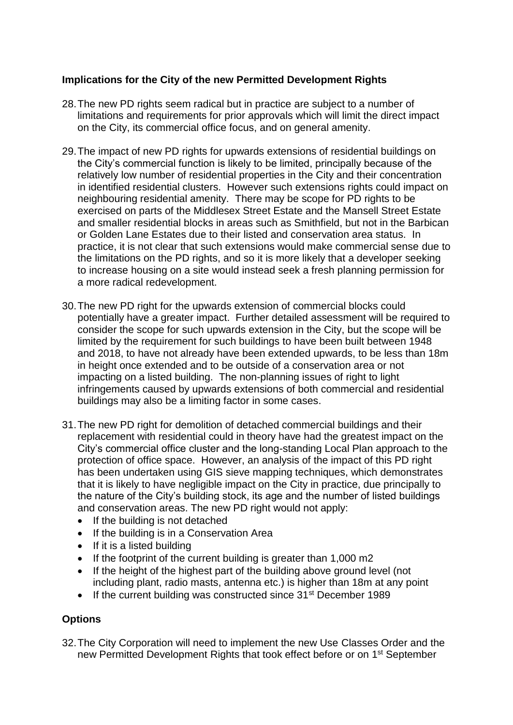# **Implications for the City of the new Permitted Development Rights**

- 28.The new PD rights seem radical but in practice are subject to a number of limitations and requirements for prior approvals which will limit the direct impact on the City, its commercial office focus, and on general amenity.
- 29.The impact of new PD rights for upwards extensions of residential buildings on the City's commercial function is likely to be limited, principally because of the relatively low number of residential properties in the City and their concentration in identified residential clusters. However such extensions rights could impact on neighbouring residential amenity. There may be scope for PD rights to be exercised on parts of the Middlesex Street Estate and the Mansell Street Estate and smaller residential blocks in areas such as Smithfield, but not in the Barbican or Golden Lane Estates due to their listed and conservation area status. In practice, it is not clear that such extensions would make commercial sense due to the limitations on the PD rights, and so it is more likely that a developer seeking to increase housing on a site would instead seek a fresh planning permission for a more radical redevelopment.
- 30.The new PD right for the upwards extension of commercial blocks could potentially have a greater impact. Further detailed assessment will be required to consider the scope for such upwards extension in the City, but the scope will be limited by the requirement for such buildings to have been built between 1948 and 2018, to have not already have been extended upwards, to be less than 18m in height once extended and to be outside of a conservation area or not impacting on a listed building. The non-planning issues of right to light infringements caused by upwards extensions of both commercial and residential buildings may also be a limiting factor in some cases.
- 31.The new PD right for demolition of detached commercial buildings and their replacement with residential could in theory have had the greatest impact on the City's commercial office cluster and the long-standing Local Plan approach to the protection of office space. However, an analysis of the impact of this PD right has been undertaken using GIS sieve mapping techniques, which demonstrates that it is likely to have negligible impact on the City in practice, due principally to the nature of the City's building stock, its age and the number of listed buildings and conservation areas. The new PD right would not apply:
	- If the building is not detached
	- If the building is in a Conservation Area
	- If it is a listed building
	- If the footprint of the current building is greater than 1,000 m2
	- If the height of the highest part of the building above ground level (not including plant, radio masts, antenna etc.) is higher than 18m at any point
	- If the current building was constructed since 31<sup>st</sup> December 1989

# **Options**

32.The City Corporation will need to implement the new Use Classes Order and the new Permitted Development Rights that took effect before or on 1<sup>st</sup> September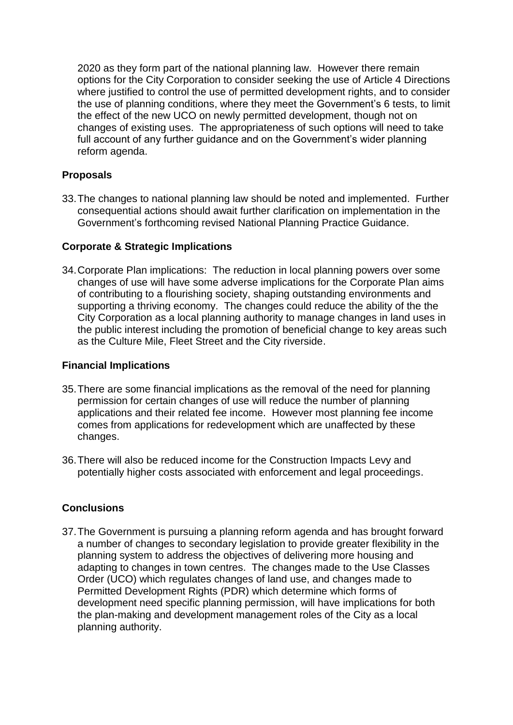2020 as they form part of the national planning law. However there remain options for the City Corporation to consider seeking the use of Article 4 Directions where justified to control the use of permitted development rights, and to consider the use of planning conditions, where they meet the Government's 6 tests, to limit the effect of the new UCO on newly permitted development, though not on changes of existing uses. The appropriateness of such options will need to take full account of any further guidance and on the Government's wider planning reform agenda.

# **Proposals**

33.The changes to national planning law should be noted and implemented. Further consequential actions should await further clarification on implementation in the Government's forthcoming revised National Planning Practice Guidance.

# **Corporate & Strategic Implications**

34.Corporate Plan implications: The reduction in local planning powers over some changes of use will have some adverse implications for the Corporate Plan aims of contributing to a flourishing society, shaping outstanding environments and supporting a thriving economy. The changes could reduce the ability of the the City Corporation as a local planning authority to manage changes in land uses in the public interest including the promotion of beneficial change to key areas such as the Culture Mile, Fleet Street and the City riverside.

# **Financial Implications**

- 35.There are some financial implications as the removal of the need for planning permission for certain changes of use will reduce the number of planning applications and their related fee income. However most planning fee income comes from applications for redevelopment which are unaffected by these changes.
- 36.There will also be reduced income for the Construction Impacts Levy and potentially higher costs associated with enforcement and legal proceedings.

# **Conclusions**

37.The Government is pursuing a planning reform agenda and has brought forward a number of changes to secondary legislation to provide greater flexibility in the planning system to address the objectives of delivering more housing and adapting to changes in town centres. The changes made to the Use Classes Order (UCO) which regulates changes of land use, and changes made to Permitted Development Rights (PDR) which determine which forms of development need specific planning permission, will have implications for both the plan-making and development management roles of the City as a local planning authority.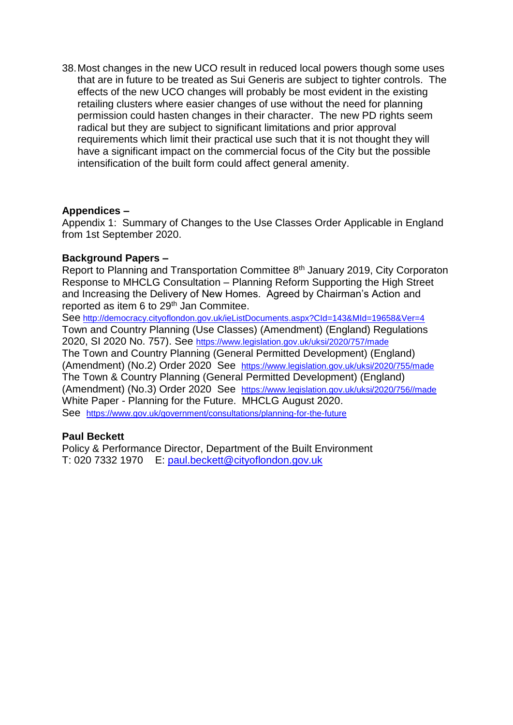38.Most changes in the new UCO result in reduced local powers though some uses that are in future to be treated as Sui Generis are subject to tighter controls. The effects of the new UCO changes will probably be most evident in the existing retailing clusters where easier changes of use without the need for planning permission could hasten changes in their character. The new PD rights seem radical but they are subject to significant limitations and prior approval requirements which limit their practical use such that it is not thought they will have a significant impact on the commercial focus of the City but the possible intensification of the built form could affect general amenity.

#### **Appendices –**

Appendix 1: Summary of Changes to the Use Classes Order Applicable in England from 1st September 2020.

#### **Background Papers –**

Report to Planning and Transportation Committee 8<sup>th</sup> January 2019, City Corporaton Response to MHCLG Consultation – Planning Reform Supporting the High Street and Increasing the Delivery of New Homes. Agreed by Chairman's Action and reported as item 6 to 29<sup>th</sup> Jan Commitee.

See <http://democracy.cityoflondon.gov.uk/ieListDocuments.aspx?CId=143&MId=19658&Ver=4> Town and Country Planning (Use Classes) (Amendment) (England) Regulations 2020, SI 2020 No. 757). See <https://www.legislation.gov.uk/uksi/2020/757/made> The Town and Country Planning (General Permitted Development) (England) (Amendment) (No.2) Order 2020 See <https://www.legislation.gov.uk/uksi/2020/755/made> The Town & Country Planning (General Permitted Development) (England) (Amendment) (No.3) Order 2020 See [https://www.legislation.gov.uk/uksi/2020/756//made](https://www.legislation.gov.uk/uksi/2020/756/made)  White Paper - Planning for the Future. MHCLG August 2020. See <https://www.gov.uk/government/consultations/planning-for-the-future>

#### **Paul Beckett**

Policy & Performance Director, Department of the Built Environment T: 020 7332 1970 E: [paul.beckett@cityoflondon.gov.uk](mailto:paul.beckett@cityoflondon.gov.uk)